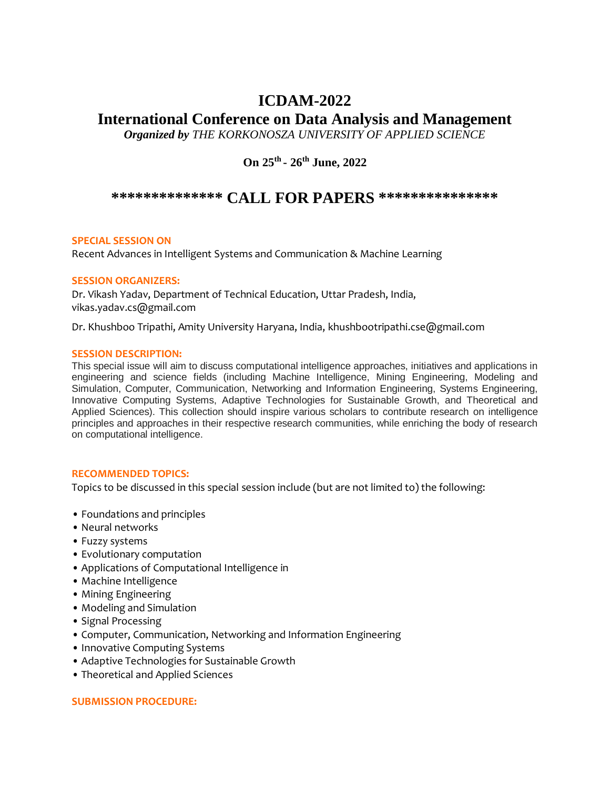# **ICDAM-2022**

## **International Conference on Data Analysis and Management**

*Organized by THE KORKONOSZA UNIVERSITY OF APPLIED SCIENCE* 

**On 25th - 26th June, 2022**

### **\*\*\*\*\*\*\*\*\*\*\*\*\*\* CALL FOR PAPERS \*\*\*\*\*\*\*\*\*\*\*\*\*\*\***

#### **SPECIAL SESSION ON**

Recent Advances in Intelligent Systems and Communication & Machine Learning

#### **SESSION ORGANIZERS:**

Dr. Vikash Yadav, Department of Technical Education, Uttar Pradesh, India, vikas.yadav.cs@gmail.com

Dr. Khushboo Tripathi, Amity University Haryana, India, khushbootripathi.cse@gmail.com

#### **SESSION DESCRIPTION:**

This special issue will aim to discuss computational intelligence approaches, initiatives and applications in engineering and science fields (including Machine Intelligence, Mining Engineering, Modeling and Simulation, Computer, Communication, Networking and Information Engineering, Systems Engineering, Innovative Computing Systems, Adaptive Technologies for Sustainable Growth, and Theoretical and Applied Sciences). This collection should inspire various scholars to contribute research on intelligence principles and approaches in their respective research communities, while enriching the body of research on computational intelligence.

#### **RECOMMENDED TOPICS:**

Topics to be discussed in this special session include (but are not limited to) the following:

- Foundations and principles
- Neural networks
- Fuzzy systems
- Evolutionary computation
- Applications of Computational Intelligence in
- Machine Intelligence
- Mining Engineering
- Modeling and Simulation
- Signal Processing
- Computer, Communication, Networking and Information Engineering
- Innovative Computing Systems
- Adaptive Technologies for Sustainable Growth
- Theoretical and Applied Sciences

#### **SUBMISSION PROCEDURE:**